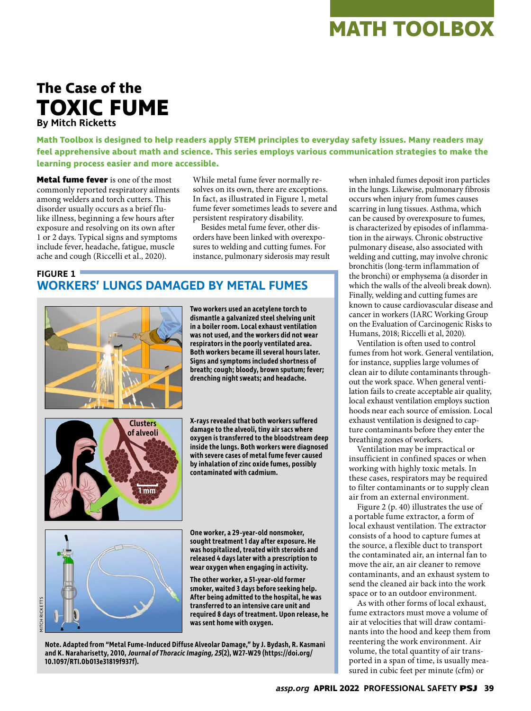# **The Case of the TOXIC FUME By Mitch Ricketts**

**Math Toolbox is designed to help readers apply STEM principles to everyday safety issues. Many readers may feel apprehensive about math and science. This series employs various communication strategies to make the learning process easier and more accessible.**

**Metal fume fever** is one of the most commonly reported respiratory ailments among welders and torch cutters. This disorder usually occurs as a brief flulike illness, beginning a few hours after exposure and resolving on its own after 1 or 2 days. Typical signs and symptoms include fever, headache, fatigue, muscle ache and cough (Riccelli et al., 2020).

While metal fume fever normally resolves on its own, there are exceptions. In fact, as illustrated in Figure 1, metal fume fever sometimes leads to severe and persistent respiratory disability.

Besides metal fume fever, other disorders have been linked with overexposures to welding and cutting fumes. For instance, pulmonary siderosis may result

# **FIGURE 1 WORKERS' LUNGS DAMAGED BY METAL FUMES**



**Two workers used an acetylene torch to dismantle a galvanized steel shelving unit in a boiler room. Local exhaust ventilation was not used, and the workers did not wear respirators in the poorly ventilated area. Both workers became ill several hours later. Signs and symptoms included shortness of breath; cough; bloody, brown sputum; fever; drenching night sweats; and headache.**



**X-rays revealed that both workers suffered damage to the alveoli, tiny air sacs where oxygen is transferred to the bloodstream deep inside the lungs. Both workers were diagnosed with severe cases of metal fume fever caused by inhalation of zinc oxide fumes, possibly contaminated with cadmium.**



RICKETTS

**One worker, a 29-year-old nonsmoker, sought treatment 1 day after exposure. He was hospitalized, treated with steroids and released 4 days later with a prescription to** 

**transferred to an intensive care unit and required 8 days of treatment. Upon release, he was sent home with oxygen.**

**Note. Adapted from "Metal Fume-Induced Diffuse Alveolar Damage," by J. Bydash, R. Kasmani and K. Naraharisetty, 2010, Journal of Thoracic Imaging, 25(2), W27-W29 (https://doi.org/ 10.1097/RTI.0b013e31819f937f).**

when inhaled fumes deposit iron particles in the lungs. Likewise, pulmonary fibrosis occurs when injury from fumes causes scarring in lung tissues. Asthma, which can be caused by overexposure to fumes, is characterized by episodes of inflammation in the airways. Chronic obstructive pulmonary disease, also associated with welding and cutting, may involve chronic bronchitis (long-term inflammation of the bronchi) or emphysema (a disorder in which the walls of the alveoli break down). Finally, welding and cutting fumes are known to cause cardiovascular disease and cancer in workers (IARC Working Group on the Evaluation of Carcinogenic Risks to Humans, 2018; Riccelli et al, 2020).

Ventilation is often used to control fumes from hot work. General ventilation, for instance, supplies large volumes of clean air to dilute contaminants throughout the work space. When general ventilation fails to create acceptable air quality, local exhaust ventilation employs suction hoods near each source of emission. Local exhaust ventilation is designed to capture contaminants before they enter the breathing zones of workers.

Ventilation may be impractical or insufficient in confined spaces or when working with highly toxic metals. In these cases, respirators may be required to filter contaminants or to supply clean air from an external environment.

Figure 2 (p. 40) illustrates the use of a portable fume extractor, a form of local exhaust ventilation. The extractor consists of a hood to capture fumes at the source, a flexible duct to transport the contaminated air, an internal fan to move the air, an air cleaner to remove contaminants, and an exhaust system to send the cleaned air back into the work space or to an outdoor environment.

As with other forms of local exhaust, fume extractors must move a volume of air at velocities that will draw contaminants into the hood and keep them from reentering the work environment. Air volume, the total quantity of air transported in a span of time, is usually measured in cubic feet per minute (cfm) or

**wear oxygen when engaging in activity. The other worker, a 51-year-old former smoker, waited 3 days before seeking help. After being admitted to the hospital, he was**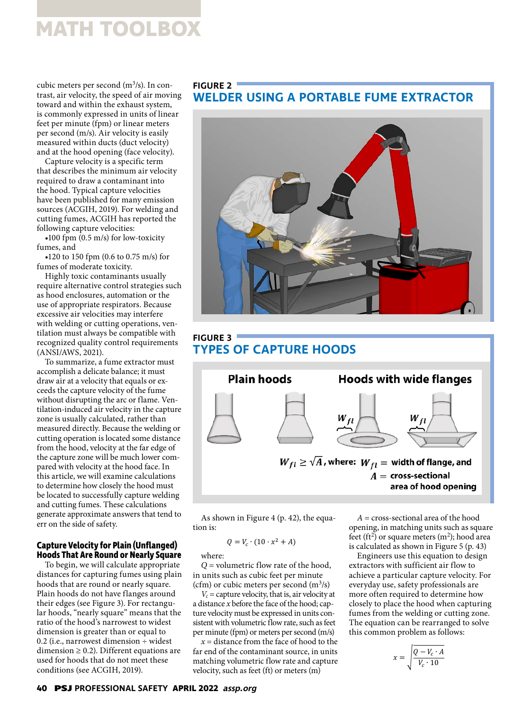cubic meters per second (m<sup>3</sup>/s). In contrast, air velocity, the speed of air moving toward and within the exhaust system, is commonly expressed in units of linear feet per minute (fpm) or linear meters per second (m/s). Air velocity is easily measured within ducts (duct velocity) and at the hood opening (face velocity).

Capture velocity is a specific term that describes the minimum air velocity required to draw a contaminant into the hood. Typical capture velocities have been published for many emission sources (ACGIH, 2019). For welding and cutting fumes, ACGIH has reported the following capture velocities:

 $\bullet$ 100 fpm  $(0.5 \text{ m/s})$  for low-toxicity fumes, and

•120 to 150 fpm (0.6 to 0.75 m/s) for fumes of moderate toxicity.

Highly toxic contaminants usually require alternative control strategies such as hood enclosures, automation or the use of appropriate respirators. Because excessive air velocities may interfere with welding or cutting operations, ventilation must always be compatible with recognized quality control requirements (ANSI/AWS, 2021).

To summarize, a fume extractor must accomplish a delicate balance; it must draw air at a velocity that equals or exceeds the capture velocity of the fume without disrupting the arc or flame. Ventilation-induced air velocity in the capture zone is usually calculated, rather than measured directly. Because the welding or cutting operation is located some distance from the hood, velocity at the far edge of the capture zone will be much lower compared with velocity at the hood face. In this article, we will examine calculations to determine how closely the hood must be located to successfully capture welding and cutting fumes. These calculations generate approximate answers that tend to err on the side of safety.

# **Capture Velocity for Plain (Unflanged) Hoods That Are Round or Nearly Square**

To begin, we will calculate appropriate distances for capturing fumes using plain hoods that are round or nearly square. Plain hoods do not have flanges around their edges (see Figure 3). For rectangular hoods, "nearly square" means that the ratio of the hood's narrowest to widest dimension is greater than or equal to 0.2 (i.e., narrowest dimension  $\div$  widest dimension  $\geq$  0.2). Different equations are used for hoods that do not meet these conditions (see ACGIH, 2019).

# **FIGURE 2**

# **WELDER USING A PORTABLE FUME EXTRACTOR**



# **FIGURE 3 TYPES OF CAPTURE HOODS**



As shown in Figure 4 (p. 42), the equation is:

$$
Q = V_c \cdot (10 \cdot x^2 + A)
$$

where:

*Q* = volumetric flow rate of the hood, in units such as cubic feet per minute (cfm) or cubic meters per second (m<sup>3</sup>/s)

 $V_c$  = capture velocity, that is, air velocity at a distance *x* before the face of the hood; capture velocity must be expressed in units consistent with volumetric flow rate, such as feet per minute (fpm) or meters per second (m/s)

*x* = distance from the face of hood to the far end of the contaminant source, in units matching volumetric flow rate and capture velocity, such as feet (ft) or meters (m)

*A* = cross-sectional area of the hood opening, in matching units such as square feet (ft<sup>2</sup>) or square meters (m<sup>2</sup>); hood area is calculated as shown in Figure 5 (p. 43)

Engineers use this equation to design extractors with sufficient air flow to achieve a particular capture velocity. For everyday use, safety professionals are more often required to determine how closely to place the hood when capturing fumes from the welding or cutting zone. The equation can be rearranged to solve this common problem as follows:

$$
x = \sqrt{\frac{Q - V_c \cdot A}{V_c \cdot 10}}
$$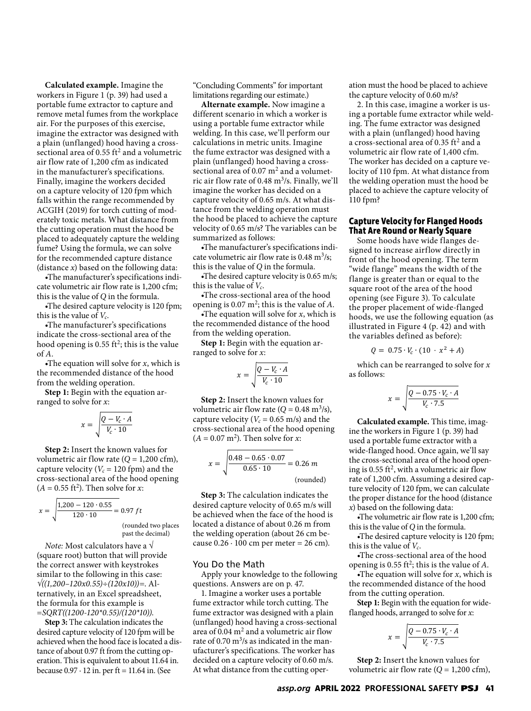**Calculated example.** Imagine the workers in Figure 1 (p. 39) had used a portable fume extractor to capture and remove metal fumes from the workplace air. For the purposes of this exercise, imagine the extractor was designed with a plain (unflanged) hood having a crosssectional area of 0.55  $ft^2$  and a volumetric air flow rate of 1,200 cfm as indicated in the manufacturer's specifications. Finally, imagine the workers decided on a capture velocity of 120 fpm which falls within the range recommended by ACGIH (2019) for torch cutting of moderately toxic metals. What distance from the cutting operation must the hood be placed to adequately capture the welding fume? Using the formula, we can solve for the recommended capture distance (distance *x*) based on the following data:

•The manufacturer's specifications indicate volumetric air flow rate is 1,200 cfm; this is the value of *Q* in the formula.

•The desired capture velocity is 120 fpm; this is the value of  $V_c$ .

•The manufacturer's specifications indicate the cross-sectional area of the hood opening is 0.55 ft<sup>2</sup>; this is the value of *A*.

•The equation will solve for *x*, which is the recommended distance of the hood from the welding operation.

**Step 1:** Begin with the equation arranged to solve for *x*:

$$
x = \sqrt{\frac{Q - V_c \cdot A}{V_c \cdot 10}}
$$

**Step 2:** Insert the known values for volumetric air flow rate  $(Q = 1,200 \text{ cfm})$ , capture velocity ( $V_c$  = 120 fpm) and the cross-sectional area of the hood opening  $(A = 0.55 \text{ ft}^2)$ . Then solve for *x*:

$$
x = \sqrt{\frac{1,200 - 120 \cdot 0.55}{120 \cdot 10}} = 0.97 \, \text{ft}
$$

(rounded two places past the decimal)

*Note:* Most calculators have a √ (square root) button that will provide the correct answer with keystrokes similar to the following in this case: *√((1,200–120x0.55)÷(120x10))=*. Alternatively, in an Excel spreadsheet, the formula for this example is *=SQRT((1200-120\*0.55)/(120\*10))*.

**Step 3:** The calculation indicates the desired capture velocity of 120 fpm will be achieved when the hood face is located a distance of about 0.97 ft from the cutting operation. This is equivalent to about 11.64 in. because  $0.97 \cdot 12$  in. per ft = 11.64 in. (See

"Concluding Comments" for important limitations regarding our estimate.)

**Alternate example.** Now imagine a different scenario in which a worker is using a portable fume extractor while welding. In this case, we'll perform our calculations in metric units. Imagine the fume extractor was designed with a plain (unflanged) hood having a crosssectional area of  $0.07 \text{ m}^2$  and a volumetric air flow rate of 0.48  $\mathrm{m}^3$ /s. Finally, we'll imagine the worker has decided on a capture velocity of 0.65 m/s. At what distance from the welding operation must the hood be placed to achieve the capture velocity of 0.65 m/s? The variables can be summarized as follows:

•The manufacturer's specifications indicate volumetric air flow rate is  $0.48 \text{ m}^3/\text{s}$ ; this is the value of *Q* in the formula.

•The desired capture velocity is 0.65 m/s; this is the value of *Vc*.

•The cross-sectional area of the hood opening is 0.07 m2; this is the value of *A*.

•The equation will solve for *x*, which is the recommended distance of the hood from the welding operation.

**Step 1:** Begin with the equation arranged to solve for *x*:

$$
x = \sqrt{\frac{Q - V_c \cdot A}{V_c \cdot 10}}
$$

**Step 2:** Insert the known values for volumetric air flow rate  $(Q = 0.48 \text{ m}^3/\text{s})$ , capture velocity ( $V_c$  = 0.65 m/s) and the cross-sectional area of the hood opening  $(A = 0.07 \text{ m}^2)$ . Then solve for *x*:

$$
x = \sqrt{\frac{0.48 - 0.65 \cdot 0.07}{0.65 \cdot 10}} = 0.26 \, m
$$
\n(rounded)

**Step 3:** The calculation indicates the desired capture velocity of 0.65 m/s will be achieved when the face of the hood is located a distance of about 0.26 m from the welding operation (about 26 cm because  $0.26 \cdot 100$  cm per meter = 26 cm).

#### You Do the Math

Apply your knowledge to the following questions. Answers are on p. 47.

1. Imagine a worker uses a portable fume extractor while torch cutting. The fume extractor was designed with a plain (unflanged) hood having a cross-sectional area of  $0.04 \text{ m}^2$  and a volumetric air flow rate of 0.70 m<sup>3</sup>/s as indicated in the manufacturer's specifications. The worker has decided on a capture velocity of 0.60 m/s. At what distance from the cutting operation must the hood be placed to achieve the capture velocity of 0.60 m/s?

2. In this case, imagine a worker is using a portable fume extractor while welding. The fume extractor was designed with a plain (unflanged) hood having a cross-sectional area of 0.35 ft<sup>2</sup> and a volumetric air flow rate of 1,400 cfm. The worker has decided on a capture velocity of 110 fpm. At what distance from the welding operation must the hood be placed to achieve the capture velocity of 110 fpm?

#### **Capture Velocity for Flanged Hoods That Are Round or Nearly Square**

Some hoods have wide flanges designed to increase airflow directly in front of the hood opening. The term "wide flange" means the width of the flange is greater than or equal to the square root of the area of the hood opening (see Figure 3). To calculate the proper placement of wide-flanged hoods, we use the following equation (as illustrated in Figure 4 (p. 42) and with the variables defined as before):

$$
Q = 0.75 \cdot V_c \cdot (10 \cdot x^2 + A)
$$

which can be rearranged to solve for *x* as follows:

$$
x = \sqrt{\frac{Q - 0.75 \cdot V_c \cdot A}{V_c \cdot 7.5}}
$$

**Calculated example.** This time, imagine the workers in Figure 1 (p. 39) had used a portable fume extractor with a wide-flanged hood. Once again, we'll say the cross-sectional area of the hood opening is 0.55 ft<sup>2</sup>, with a volumetric air flow rate of 1,200 cfm. Assuming a desired capture velocity of 120 fpm, we can calculate the proper distance for the hood (distance *x*) based on the following data:

•The volumetric air flow rate is 1,200 cfm; this is the value of *Q* in the formula.

•The desired capture velocity is 120 fpm; this is the value of *Vc*.

•The cross-sectional area of the hood opening is 0.55 ft2; this is the value of *A*.

•The equation will solve for *x*, which is the recommended distance of the hood from the cutting operation.

**Step 1:** Begin with the equation for wideflanged hoods, arranged to solve for *x*:

$$
x = \sqrt{\frac{Q - 0.75 \cdot V_c \cdot A}{V_c \cdot 7.5}}
$$

**Step 2:** Insert the known values for volumetric air flow rate  $(Q = 1,200 \text{ cfm})$ ,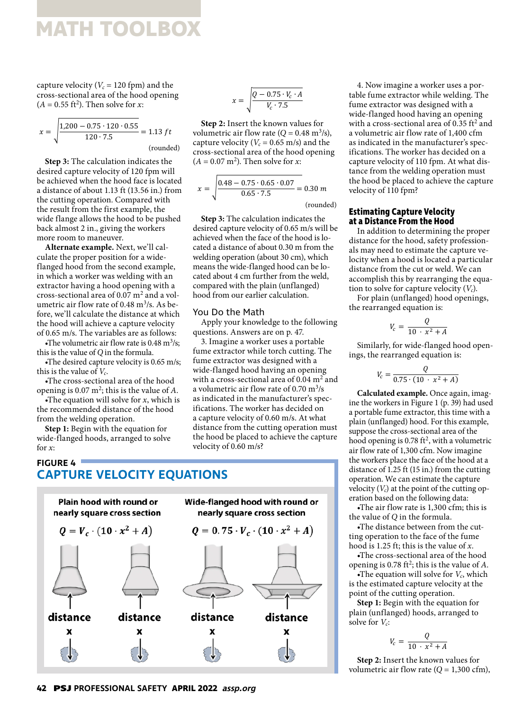capture velocity ( $V_c$  = 120 fpm) and the cross-sectional area of the hood opening  $(A = 0.55 \text{ ft}^2)$ . Then solve for *x*:

$$
x = \sqrt{\frac{1,200 - 0.75 \cdot 120 \cdot 0.55}{120 \cdot 7.5}} = 1.13 \text{ ft}
$$
\n(rounded)

**Step 3:** The calculation indicates the desired capture velocity of 120 fpm will be achieved when the hood face is located a distance of about 1.13 ft (13.56 in.) from the cutting operation. Compared with the result from the first example, the wide flange allows the hood to be pushed back almost 2 in., giving the workers more room to maneuver.

**Alternate example.** Next, we'll calculate the proper position for a wideflanged hood from the second example, in which a worker was welding with an extractor having a hood opening with a cross-sectional area of 0.07 m<sup>2</sup> and a volumetric air flow rate of 0.48 m<sup>3</sup>/s. As before, we'll calculate the distance at which the hood will achieve a capture velocity of 0.65 m/s. The variables are as follows:

The volumetric air flow rate is  $0.48 \text{ m}^3\text{/s};$ this is the value of *Q* in the formula.

•The desired capture velocity is 0.65 m/s; this is the value of *Vc*.

•The cross-sectional area of the hood opening is  $0.07 \text{ m}^2$ ; this is the value of A.

•The equation will solve for *x*, which is the recommended distance of the hood from the welding operation.

**Step 1:** Begin with the equation for wide-flanged hoods, arranged to solve for *x*:

**FIGURE 4**

$$
x = \sqrt{\frac{Q - 0.75 \cdot V_c \cdot A}{V_c \cdot 7.5}}
$$

**Step 2:** Insert the known values for volumetric air flow rate  $(Q = 0.48 \text{ m}^3/\text{s})$ , capture velocity ( $V_c$  = 0.65 m/s) and the cross-sectional area of the hood opening  $(A = 0.07 \text{ m}^2)$ . Then solve for *x*:

$$
x = \sqrt{\frac{0.48 - 0.75 \cdot 0.65 \cdot 0.07}{0.65 \cdot 7.5}} = 0.30 \, m
$$

(rounded)

**Step 3:** The calculation indicates the desired capture velocity of 0.65 m/s will be achieved when the face of the hood is located a distance of about 0.30 m from the welding operation (about 30 cm), which means the wide-flanged hood can be located about 4 cm further from the weld, compared with the plain (unflanged) hood from our earlier calculation.

## You Do the Math

Apply your knowledge to the following questions. Answers are on p. 47.

3. Imagine a worker uses a portable fume extractor while torch cutting. The fume extractor was designed with a wide-flanged hood having an opening with a cross-sectional area of 0.04  $m^2$  and a volumetric air flow rate of  $0.70 \text{ m}^3\text{/s}$ as indicated in the manufacturer's specifications. The worker has decided on a capture velocity of 0.60 m/s. At what distance from the cutting operation must the hood be placed to achieve the capture velocity of 0.60 m/s?

# **CAPTURE VELOCITY EQUATIONS**



4. Now imagine a worker uses a portable fume extractor while welding. The fume extractor was designed with a wide-flanged hood having an opening with a cross-sectional area of 0.35  $\text{ft}^2$  and a volumetric air flow rate of 1,400 cfm as indicated in the manufacturer's specifications. The worker has decided on a capture velocity of 110 fpm. At what distance from the welding operation must the hood be placed to achieve the capture velocity of 110 fpm?

#### **Estimating Capture Velocity at a Distance From the Hood**

In addition to determining the proper distance for the hood, safety professionals may need to estimate the capture velocity when a hood is located a particular distance from the cut or weld. We can accomplish this by rearranging the equation to solve for capture velocity (*Vc*). For plain (unflanged) hood openings,

the rearranged equation is:

$$
V_c = \frac{Q}{10 \cdot x^2 + A}
$$

Similarly, for wide-flanged hood openings, the rearranged equation is:

$$
V_c = \frac{Q}{0.75 \cdot (10 \cdot x^2 + A)}
$$

**Calculated example.** Once again, imagine the workers in Figure 1 (p. 39) had used a portable fume extractor, this time with a plain (unflanged) hood. For this example, suppose the cross-sectional area of the hood opening is  $0.78 \text{ ft}^2$ , with a volumetric air flow rate of 1,300 cfm. Now imagine the workers place the face of the hood at a distance of 1.25 ft (15 in.) from the cutting operation. We can estimate the capture velocity  $(V_c)$  at the point of the cutting operation based on the following data:

•The air flow rate is 1,300 cfm; this is the value of *Q* in the formula.

•The distance between from the cutting operation to the face of the fume hood is 1.25 ft; this is the value of *x*.

•The cross-sectional area of the hood opening is 0.78 ft<sup>2</sup>; this is the value of *A*.

•The equation will solve for  $V_c$ , which is the estimated capture velocity at the point of the cutting operation.

**Step 1:** Begin with the equation for plain (unflanged) hoods, arranged to solve for  $V_c$ :

$$
V_c = \frac{Q}{10 \cdot x^2 + A}
$$

**Step 2:** Insert the known values for volumetric air flow rate  $(Q = 1,300 \text{ cfm})$ ,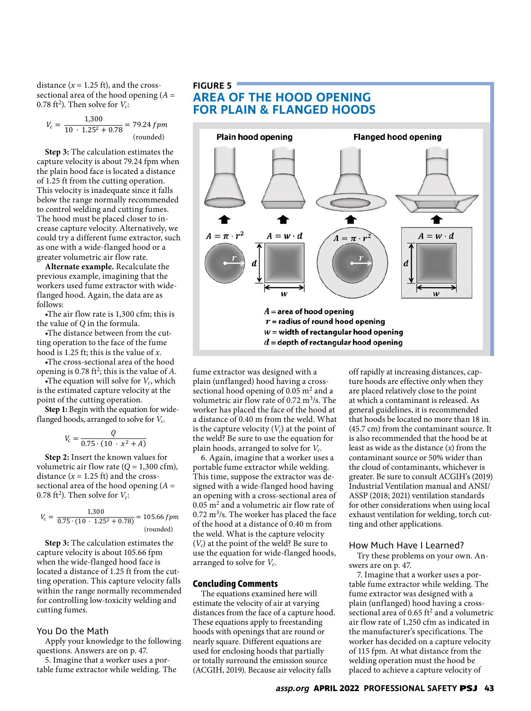distance  $(x = 1.25 \text{ ft})$ , and the crosssectional area of the hood opening (*A* = 0.78 ft<sup>2</sup>). Then solve for  $V_c$ :

$$
V_c = \frac{1,300}{10 \cdot 1.25^2 + 0.78} = 79.24 \, fpm
$$
\n(rounded)

**Step 3:** The calculation estimates the capture velocity is about 79.24 fpm when the plain hood face is located a distance of 1.25 ft from the cutting operation. This velocity is inadequate since it falls below the range normally recommended to control welding and cutting fumes. The hood must be placed closer to increase capture velocity. Alternatively, we could try a different fume extractor, such as one with a wide-flanged hood or a greater volumetric air flow rate.

**Alternate example.** Recalculate the previous example, imagining that the workers used fume extractor with wideflanged hood. Again, the data are as follows:

•The air flow rate is 1,300 cfm; this is the value of *Q* in the formula.

•The distance between from the cutting operation to the face of the fume hood is 1.25 ft; this is the value of *x*.

•The cross-sectional area of the hood opening is 0.78 ft<sup>2</sup>; this is the value of  $A$ .

The equation will solve for  $V_c$ , which is the estimated capture velocity at the point of the cutting operation.

**Step 1:** Begin with the equation for wideflanged hoods, arranged to solve for *Vc*.

$$
V_c = \frac{Q}{0.75 \cdot (10 \cdot x^2 + A)}
$$

**Step 2:** Insert the known values for volumetric air flow rate  $(Q = 1,300 \text{ cfm})$ , distance  $(x = 1.25 \text{ ft})$  and the crosssectional area of the hood opening (*A* = 0.78 ft<sup>2</sup>). Then solve for  $V_c$ :

$$
V_c = \frac{1,300}{0.75 \cdot (10 \cdot 1.25^2 + 0.78)} = 105.66 \, \text{fpm} \, \text{(rounded)}
$$

**Step 3:** The calculation estimates the capture velocity is about 105.66 fpm when the wide-flanged hood face is located a distance of 1.25 ft from the cutting operation. This capture velocity falls within the range normally recommended for controlling low-toxicity welding and cutting fumes.

### You Do the Math

Apply your knowledge to the following questions. Answers are on p. 47.

5. Imagine that a worker uses a portable fume extractor while welding. The

# **FIGURE 5 AREA OF THE HOOD OPENING FOR PLAIN & FLANGED HOODS**



fume extractor was designed with a plain (unflanged) hood having a crosssectional hood opening of 0.05  $m<sup>2</sup>$  and a volumetric air flow rate of 0.72 m<sup>3</sup>/s. The worker has placed the face of the hood at a distance of 0.40 m from the weld. What is the capture velocity  $(V_c)$  at the point of the weld? Be sure to use the equation for plain hoods, arranged to solve for *Vc*.

6. Again, imagine that a worker uses a portable fume extractor while welding. This time, suppose the extractor was designed with a wide-flanged hood having an opening with a cross-sectional area of 0.05 m<sup>2</sup> and a volumetric air flow rate of  $0.72 \text{ m}^3$ /s. The worker has placed the face of the hood at a distance of 0.40 m from the weld. What is the capture velocity (*Vc*) at the point of the weld? Be sure to use the equation for wide-flanged hoods, arranged to solve for *Vc*.

#### **Concluding Comments**

The equations examined here will estimate the velocity of air at varying distances from the face of a capture hood. These equations apply to freestanding hoods with openings that are round or nearly square. Different equations are used for enclosing hoods that partially or totally surround the emission source (ACGIH, 2019). Because air velocity falls

off rapidly at increasing distances, capture hoods are effective only when they are placed relatively close to the point at which a contaminant is released. As general guidelines, it is recommended that hoods be located no more than 18 in. (45.7 cm) from the contaminant source. It is also recommended that the hood be at least as wide as the distance (*x*) from the contaminant source or 50% wider than the cloud of contaminants, whichever is greater. Be sure to consult ACGIH's (2019) Industrial Ventilation manual and ANSI/ ASSP (2018; 2021) ventilation standards for other considerations when using local exhaust ventilation for welding, torch cutting and other applications.

#### How Much Have I Learned?

Try these problems on your own. Answers are on p. 47.

7. Imagine that a worker uses a portable fume extractor while welding. The fume extractor was designed with a plain (unflanged) hood having a crosssectional area of 0.65  $\mathrm{ft^{2}}$  and a volumetric air flow rate of 1,250 cfm as indicated in the manufacturer's specifications. The worker has decided on a capture velocity of 115 fpm. At what distance from the welding operation must the hood be placed to achieve a capture velocity of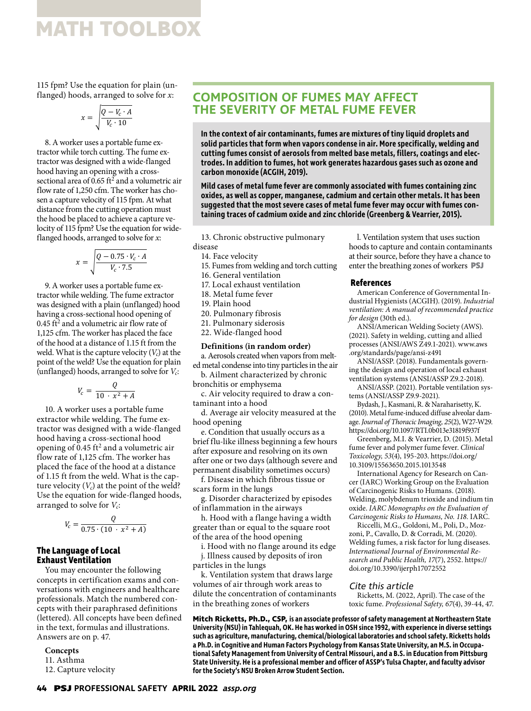115 fpm? Use the equation for plain (unflanged) hoods, arranged to solve for *x*:

$$
x = \sqrt{\frac{Q - V_c \cdot A}{V_c \cdot 10}}
$$

8. A worker uses a portable fume extractor while torch cutting. The fume extractor was designed with a wide-flanged hood having an opening with a crosssectional area of 0.65  $\text{ft}^2$  and a volumetric air flow rate of 1,250 cfm. The worker has chosen a capture velocity of 115 fpm. At what distance from the cutting operation must the hood be placed to achieve a capture velocity of 115 fpm? Use the equation for wideflanged hoods, arranged to solve for *x*:

$$
x = \sqrt{\frac{Q - 0.75 \cdot V_c \cdot A}{V_c \cdot 7.5}}
$$

9. A worker uses a portable fume extractor while welding. The fume extractor was designed with a plain (unflanged) hood having a cross-sectional hood opening of  $0.45$  ft<sup>2</sup> and a volumetric air flow rate of 1,125 cfm. The worker has placed the face of the hood at a distance of 1.15 ft from the weld. What is the capture velocity  $(V_c)$  at the point of the weld? Use the equation for plain (unflanged) hoods, arranged to solve for *Vc*:

$$
V_c = \frac{Q}{10 \cdot x^2 + A}
$$

10. A worker uses a portable fume extractor while welding. The fume extractor was designed with a wide-flanged hood having a cross-sectional hood opening of  $0.45 \text{ ft}^2$  and a volumetric air flow rate of 1,125 cfm. The worker has placed the face of the hood at a distance of 1.15 ft from the weld. What is the capture velocity  $(V_c)$  at the point of the weld? Use the equation for wide-flanged hoods, arranged to solve for *Vc*:

$$
V_c = \frac{Q}{0.75 \cdot (10 \cdot x^2 + A)}
$$

## **The Language of Local Exhaust Ventilation**

You may encounter the following concepts in certification exams and conversations with engineers and healthcare professionals. Match the numbered concepts with their paraphrased definitions (lettered). All concepts have been defined in the text, formulas and illustrations. Answers are on p. 47.

**Concepts** 11. Asthma 12. Capture velocity

# **COMPOSITION OF FUMES MAY AFFECT THE SEVERITY OF METAL FUME FEVER**

**In the context of air contaminants, fumes are mixtures of tiny liquid droplets and solid particles that form when vapors condense in air. More specifically, welding and cutting fumes consist of aerosols from melted base metals, fillers, coatings and electrodes. In addition to fumes, hot work generates hazardous gases such as ozone and carbon monoxide (ACGIH, 2019).**

**Mild cases of metal fume fever are commonly associated with fumes containing zinc oxides, as well as copper, manganese, cadmium and certain other metals. It has been suggested that the most severe cases of metal fume fever may occur with fumes containing traces of cadmium oxide and zinc chloride (Greenberg & Vearrier, 2015).**

13. Chronic obstructive pulmonary disease

- 14. Face velocity
- 15. Fumes from welding and torch cutting
- 
- 16. General ventilation 17. Local exhaust ventilation
- 18. Metal fume fever
- 19. Plain hood
- 
- 20. Pulmonary fibrosis
- 21. Pulmonary siderosis
- 22. Wide-flanged hood

## **Definitions (in random order)**

a. Aerosols created when vapors from melted metal condense into tiny particles in the air

b. Ailment characterized by chronic bronchitis or emphysema

c. Air velocity required to draw a contaminant into a hood

d. Average air velocity measured at the hood opening

e. Condition that usually occurs as a brief flu-like illness beginning a few hours after exposure and resolving on its own after one or two days (although severe and permanent disability sometimes occurs)

f. Disease in which fibrous tissue or scars form in the lungs

g. Disorder characterized by episodes of inflammation in the airways

h. Hood with a flange having a width greater than or equal to the square root of the area of the hood opening

i. Hood with no flange around its edge

j. Illness caused by deposits of iron particles in the lungs

k. Ventilation system that draws large volumes of air through work areas to dilute the concentration of contaminants in the breathing zones of workers

l. Ventilation system that uses suction hoods to capture and contain contaminants at their source, before they have a chance to enter the breathing zones of workers **PSJ**

#### **References**

American Conference of Governmental Industrial Hygienists (ACGIH). (2019). *Industrial ventilation: A manual of recommended practice for design* (30th ed.).

ANSI/American Welding Society (AWS). (2021). Safety in welding, cutting and allied processes (ANSI/AWS Z49.1-2021). www.aws .org/standards/page/ansi-z491

ANSI/ASSP. (2018). Fundamentals governing the design and operation of local exhaust ventilation systems (ANSI/ASSP Z9.2-2018).

ANSI/ASSP. (2021). Portable ventilation systems (ANSI/ASSP Z9.9-2021).

Bydash, J., Kasmani, R. & Naraharisetty, K. (2010). Metal fume-induced diffuse alveolar damage. *Journal of Thoracic Imaging, 25*(2), W27-W29. https://doi.org/10.1097/RTI.0b013e31819f937f

Greenberg, M.I. & Vearrier, D. (2015). Metal fume fever and polymer fume fever. *Clinical Toxicology, 53*(4), 195-203. https://doi.org/ 10.3109/15563650.2015.1013548

International Agency for Research on Cancer (IARC) Working Group on the Evaluation of Carcinogenic Risks to Humans. (2018). Welding, molybdenum trioxide and indium tin oxide. *IARC Monographs on the Evaluation of Carcinogenic Risks to Humans, No. 118.* IARC.

Riccelli, M.G., Goldoni, M., Poli, D., Mozzoni, P., Cavallo, D. & Corradi, M. (2020). Welding fumes, a risk factor for lung diseases. *International Journal of Environmental Research and Public Health, 17*(7), 2552. https:// doi.org/10.3390/ijerph17072552

### Cite this article

Ricketts, M. (2022, April). The case of the toxic fume. *Professional Safety, 67*(4), 39-44, 47.

**Mitch Ricketts, Ph.D., CSP, is an associate professor of safety management at Northeastern State University (NSU) in Tahlequah, OK. He has worked in OSH since 1992, with experience in diverse settings such as agriculture, manufacturing, chemical/biological laboratories and school safety. Ricketts holds a Ph.D. in Cognitive and Human Factors Psychology from Kansas State University, an M.S. in Occupational Safety Management from University of Central Missouri, and a B.S. in Education from Pittsburg State University. He is a professional member and officer of ASSP's Tulsa Chapter, and faculty advisor for the Society's NSU Broken Arrow Student Section.**